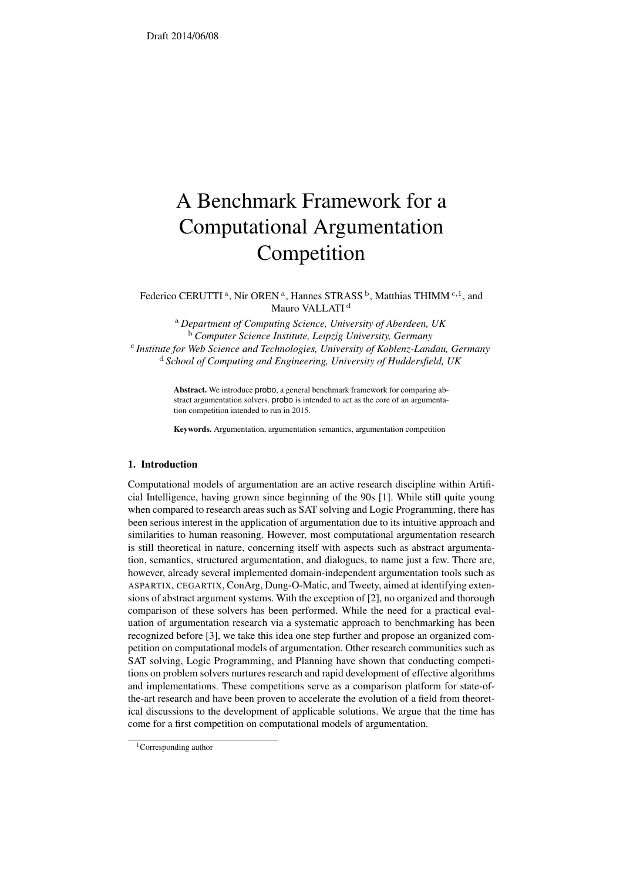# A Benchmark Framework for a Computational Argumentation Competition

Federico CERUTTI<sup>[a](#page-0-0)</sup>, Nir OREN<sup>a</sup>, Hannes STRASS<sup>[b](#page-0-1)</sup>, Matthias THIMM<sup>[c](#page-0-2),1</sup>, and Mauro VALLATI<sup>[d](#page-0-3)</sup>

<span id="page-0-3"></span><span id="page-0-2"></span><span id="page-0-1"></span><span id="page-0-0"></span><sup>a</sup> *Department of Computing Science, University of Aberdeen, UK* <sup>b</sup> *Computer Science Institute, Leipzig University, Germany* c *Institute for Web Science and Technologies, University of Koblenz-Landau, Germany* <sup>d</sup> *School of Computing and Engineering, University of Huddersfield, UK*

> Abstract. We introduce probo, a general benchmark framework for comparing abstract argumentation solvers. probo is intended to act as the core of an argumentation competition intended to run in 2015.

Keywords. Argumentation, argumentation semantics, argumentation competition

## 1. Introduction

Computational models of argumentation are an active research discipline within Artificial Intelligence, having grown since beginning of the 90s [\[1\]](#page-1-0). While still quite young when compared to research areas such as SAT solving and Logic Programming, there has been serious interest in the application of argumentation due to its intuitive approach and similarities to human reasoning. However, most computational argumentation research is still theoretical in nature, concerning itself with aspects such as abstract argumentation, semantics, structured argumentation, and dialogues, to name just a few. There are, however, already several implemented domain-independent argumentation tools such as ASPARTIX, CEGARTIX, ConArg, Dung-O-Matic, and Tweety, aimed at identifying extensions of abstract argument systems. With the exception of [\[2\]](#page-1-1), no organized and thorough comparison of these solvers has been performed. While the need for a practical evaluation of argumentation research via a systematic approach to benchmarking has been recognized before [\[3\]](#page-1-2), we take this idea one step further and propose an organized competition on computational models of argumentation. Other research communities such as SAT solving, Logic Programming, and Planning have shown that conducting competitions on problem solvers nurtures research and rapid development of effective algorithms and implementations. These competitions serve as a comparison platform for state-ofthe-art research and have been proven to accelerate the evolution of a field from theoretical discussions to the development of applicable solutions. We argue that the time has come for a first competition on computational models of argumentation.

<sup>&</sup>lt;sup>1</sup>Corresponding author